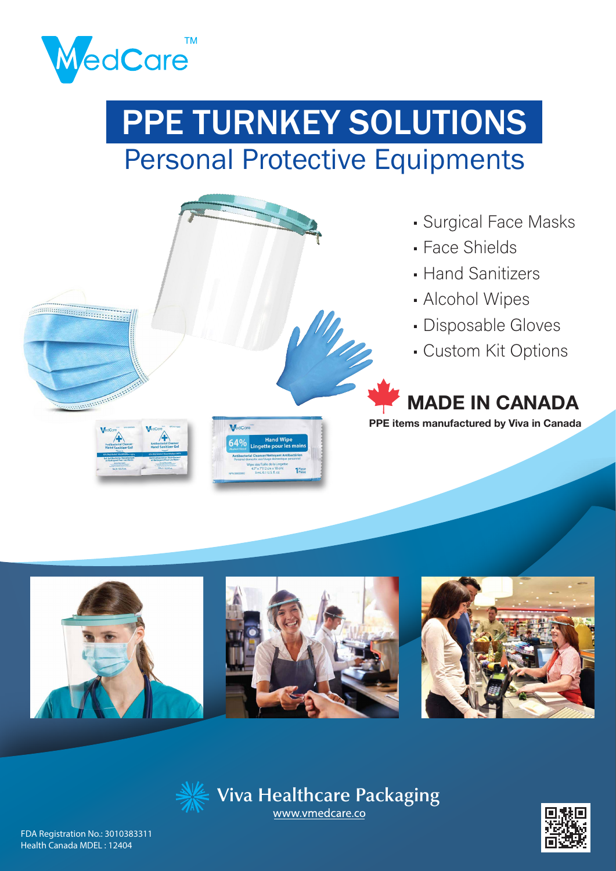

# Personal Protective Equipments PPE TURNKEY SOLUTIONS









FDA Registration No.: 3010383311 Health Canada MDEL : 12404